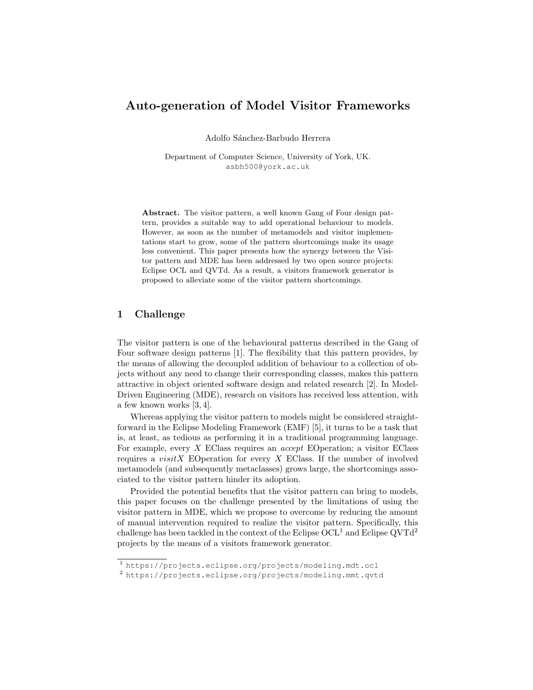# Auto-generation of Model Visitor Frameworks

Adolfo Sánchez-Barbudo Herrera

Department of Computer Science, University of York, UK. asbh500@york.ac.uk

Abstract. The visitor pattern, a well known Gang of Four design pattern, provides a suitable way to add operational behaviour to models. However, as soon as the number of metamodels and visitor implementations start to grow, some of the pattern shortcomings make its usage less convenient. This paper presents how the synergy between the Visitor pattern and MDE has been addressed by two open source projects: Eclipse OCL and QVTd. As a result, a visitors framework generator is proposed to alleviate some of the visitor pattern shortcomings.

### 1 Challenge

The visitor pattern is one of the behavioural patterns described in the Gang of Four software design patterns [1]. The flexibility that this pattern provides, by the means of allowing the decoupled addition of behaviour to a collection of objects without any need to change their corresponding classes, makes this pattern attractive in object oriented software design and related research [2]. In Model-Driven Engineering (MDE), research on visitors has received less attention, with a few known works [3, 4].

Whereas applying the visitor pattern to models might be considered straightforward in the Eclipse Modeling Framework (EMF) [5], it turns to be a task that is, at least, as tedious as performing it in a traditional programming language. For example, every X EClass requires an accept EOperation; a visitor EClass requires a *visitX* EOperation for every  $X$  EClass. If the number of involved metamodels (and subsequently metaclasses) grows large, the shortcomings associated to the visitor pattern hinder its adoption.

Provided the potential benefits that the visitor pattern can bring to models, this paper focuses on the challenge presented by the limitations of using the visitor pattern in MDE, which we propose to overcome by reducing the amount of manual intervention required to realize the visitor pattern. Specifically, this challenge has been tackled in the context of the Eclipse  $\rm OCL^{1}$  and Eclipse  $\rm QVTd^{2}$ projects by the means of a visitors framework generator.

<sup>1</sup> https://projects.eclipse.org/projects/modeling.mdt.ocl

<sup>2</sup> https://projects.eclipse.org/projects/modeling.mmt.qvtd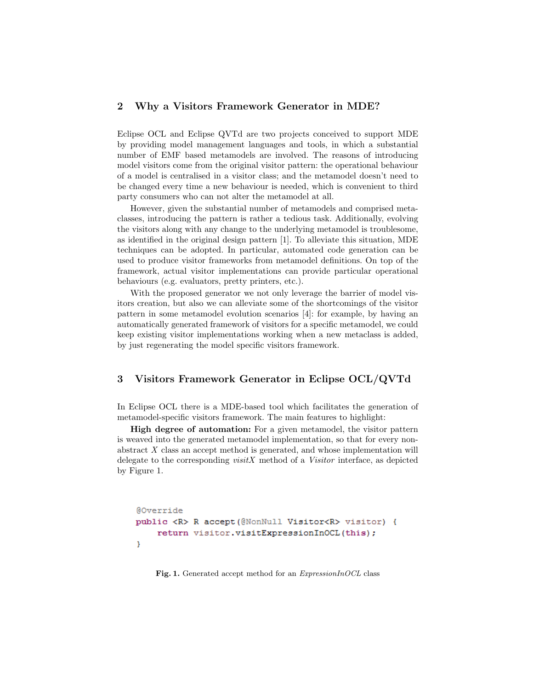### 2 Why a Visitors Framework Generator in MDE?

Eclipse OCL and Eclipse QVTd are two projects conceived to support MDE by providing model management languages and tools, in which a substantial number of EMF based metamodels are involved. The reasons of introducing model visitors come from the original visitor pattern: the operational behaviour of a model is centralised in a visitor class; and the metamodel doesn't need to be changed every time a new behaviour is needed, which is convenient to third party consumers who can not alter the metamodel at all.

However, given the substantial number of metamodels and comprised metaclasses, introducing the pattern is rather a tedious task. Additionally, evolving the visitors along with any change to the underlying metamodel is troublesome, as identified in the original design pattern [1]. To alleviate this situation, MDE techniques can be adopted. In particular, automated code generation can be used to produce visitor frameworks from metamodel definitions. On top of the framework, actual visitor implementations can provide particular operational behaviours (e.g. evaluators, pretty printers, etc.).

With the proposed generator we not only leverage the barrier of model visitors creation, but also we can alleviate some of the shortcomings of the visitor pattern in some metamodel evolution scenarios [4]: for example, by having an automatically generated framework of visitors for a specific metamodel, we could keep existing visitor implementations working when a new metaclass is added, by just regenerating the model specific visitors framework.

### 3 Visitors Framework Generator in Eclipse OCL/QVTd

In Eclipse OCL there is a MDE-based tool which facilitates the generation of metamodel-specific visitors framework. The main features to highlight:

High degree of automation: For a given metamodel, the visitor pattern is weaved into the generated metamodel implementation, so that for every nonabstract  $X$  class an accept method is generated, and whose implementation will delegate to the corresponding  $visitX$  method of a *Visitor* interface, as depicted by Figure 1.

```
@Override
public <R> R accept (@NonNull Visitor<R> visitor) {
    return visitor.visitExpressionInOCL(this);
ŀ
```
Fig. 1. Generated accept method for an *ExpressionInOCL* class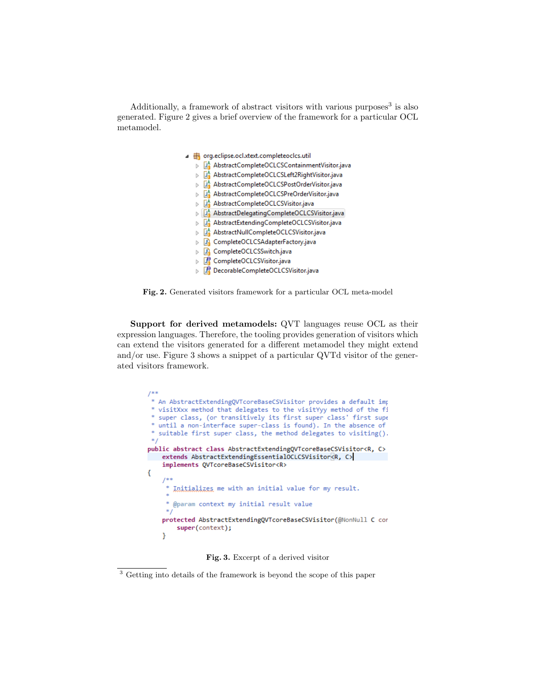Additionally, a framework of abstract visitors with various purposes<sup>3</sup> is also generated. Figure 2 gives a brief overview of the framework for a particular OCL metamodel.

|   | org.eclipse.ocl.xtext.completeoclcs.util     |  |  |  |  |  |
|---|----------------------------------------------|--|--|--|--|--|
|   | AbstractCompleteOCLCSContainmentVisitor.java |  |  |  |  |  |
|   | AbstractCompleteOCLCSLeft2RightVisitor.java  |  |  |  |  |  |
|   | AbstractCompleteOCLCSPostOrderVisitor.java   |  |  |  |  |  |
| ь | AbstractCompleteOCLCSPreOrderVisitor.java    |  |  |  |  |  |
| b | AbstractCompleteOCLCSVisitor.java            |  |  |  |  |  |
|   | AbstractDelegatingCompleteOCLCSVisitor.java  |  |  |  |  |  |
|   | AbstractExtendingCompleteOCLCSVisitor.java   |  |  |  |  |  |
|   | LA AbstractNullCompleteOCLCSVisitor.java     |  |  |  |  |  |
|   | CompleteOCLCSAdapterFactory.java             |  |  |  |  |  |
| b | CompleteOCLCSSwitch.java                     |  |  |  |  |  |
|   | CompleteOCLCSVisitor.java                    |  |  |  |  |  |
|   | DecorableCompleteOCLCSVisitor.iava           |  |  |  |  |  |

Fig. 2. Generated visitors framework for a particular OCL meta-model

Support for derived metamodels: QVT languages reuse OCL as their expression languages. Therefore, the tooling provides generation of visitors which can extend the visitors generated for a different metamodel they might extend and/or use. Figure 3 shows a snippet of a particular QVTd visitor of the generated visitors framework.



Fig. 3. Excerpt of a derived visitor

<sup>&</sup>lt;sup>3</sup> Getting into details of the framework is beyond the scope of this paper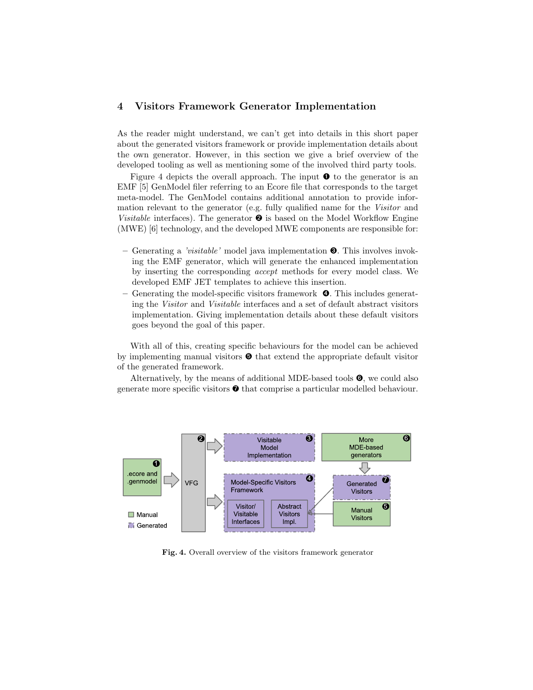## 4 Visitors Framework Generator Implementation

As the reader might understand, we can't get into details in this short paper about the generated visitors framework or provide implementation details about the own generator. However, in this section we give a brief overview of the developed tooling as well as mentioning some of the involved third party tools.

Figure 4 depicts the overall approach. The input  $\bullet$  to the generator is an EMF [5] GenModel filer referring to an Ecore file that corresponds to the target meta-model. The GenModel contains additional annotation to provide information relevant to the generator (e.g. fully qualified name for the Visitor and Visitable interfaces). The generator  $\bullet$  is based on the Model Workflow Engine (MWE) [6] technology, and the developed MWE components are responsible for:

- Generating a 'visitable' model java implementation  $\bullet$ . This involves invoking the EMF generator, which will generate the enhanced implementation by inserting the corresponding accept methods for every model class. We developed EMF JET templates to achieve this insertion.
- $-$  Generating the model-specific visitors framework  $\bullet$ . This includes generating the Visitor and Visitable interfaces and a set of default abstract visitors implementation. Giving implementation details about these default visitors goes beyond the goal of this paper.

With all of this, creating specific behaviours for the model can be achieved by implementing manual visitors  $\bullet$  that extend the appropriate default visitor of the generated framework.

Alternatively, by the means of additional MDE-based tools  $\mathbf{\odot}$ , we could also generate more specific visitors  $\bullet$  that comprise a particular modelled behaviour.



Fig. 4. Overall overview of the visitors framework generator